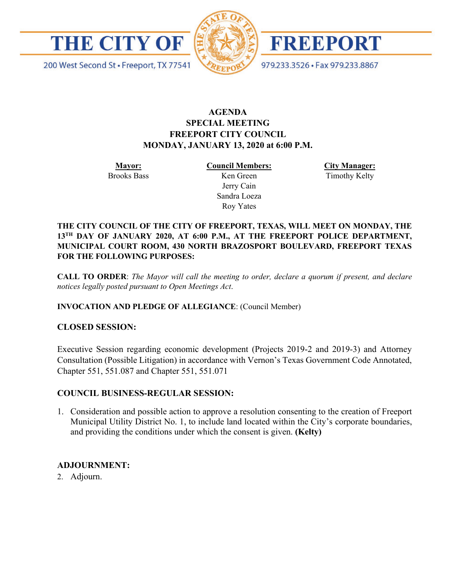



FREEPORT

979.233.3526 · Fax 979.233.8867

200 West Second St · Freeport, TX 77541

# **AGENDA SPECIAL MEETING FREEPORT CITY COUNCIL MONDAY, JANUARY 13, 2020 at 6:00 P.M.**

**Mayor:** Brooks Bass **Council Members:** Ken Green Jerry Cain Sandra Loeza Roy Yates

**City Manager:** Timothy Kelty

**THE CITY COUNCIL OF THE CITY OF FREEPORT, TEXAS, WILL MEET ON MONDAY, THE 13TH DAY OF JANUARY 2020, AT 6:00 P.M., AT THE FREEPORT POLICE DEPARTMENT, MUNICIPAL COURT ROOM, 430 NORTH BRAZOSPORT BOULEVARD, FREEPORT TEXAS FOR THE FOLLOWING PURPOSES:**

**CALL TO ORDER**: *The Mayor will call the meeting to order, declare a quorum if present, and declare notices legally posted pursuant to Open Meetings Act*.

## **INVOCATION AND PLEDGE OF ALLEGIANCE**: (Council Member)

## **CLOSED SESSION:**

Executive Session regarding economic development (Projects 2019-2 and 2019-3) and Attorney Consultation (Possible Litigation) in accordance with Vernon's Texas Government Code Annotated, Chapter 551, 551.087 and Chapter 551, 551.071

### **COUNCIL BUSINESS-REGULAR SESSION:**

1. Consideration and possible action to approve a resolution consenting to the creation of Freeport Municipal Utility District No. 1, to include land located within the City's corporate boundaries, and providing the conditions under which the consent is given. **(Kelty)**

## **ADJOURNMENT:**

2. Adjourn.